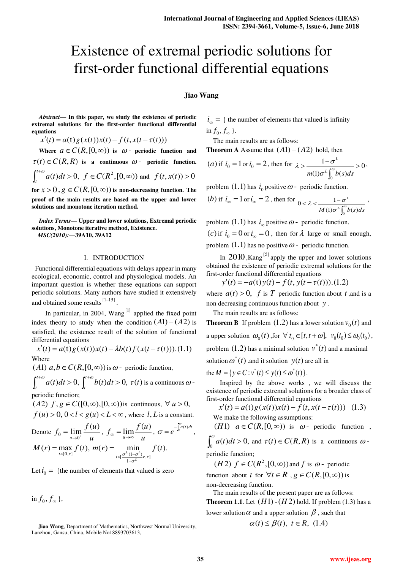# Existence of extremal periodic solutions for first-order functional differential equations

# **Jiao Wang**

*Abstract***— In this paper, we study the existence of periodic extremal solutions for the first-order functional differential equations** 

 $x'(t) = a(t)g(x(t))x(t) - f(t, x(t - \tau(t)))$ 

**Where**  $a \in C(R, [0, \infty))$  is  $\omega$ - periodic function and  $\tau(t) \in C(R, R)$  is a continuous  $\omega$ - periodic function.  $\int_t^{t+\omega} a(t) dt$  $f_t^{(t+m)}$   $a(t)dt > 0$ ,  $f \in C(R^2, [0, \infty))$  and  $f(t, x(t)) > 0$ 

for  $x > 0$ ,  $g \in C(R, [0, \infty))$  is non-decreasing function. The **proof of the main results are based on the upper and lower solutions and monotone iteration method.** 

*Index Terms***— Upper and lower solutions, Extremal periodic solutions, Monotone iterative method, Existence.**  *MSC(2010):***—39A10, 39A12** 

## I. INTRODUCTION

 Functional differential equations with delays appear in many ecological, economic, control and physiological models. An important question is whether these equations can support periodic solutions. Many authors have studied it extensively and obtained some results  $[1-15]$ .

In particular, in 2004,  $Wang$ <sup>[1]</sup> applied the fixed point index theory to study when the condition  $(A1) - (A2)$  is satisfied, the existence result of the solution of functional differential equations

$$
x'(t) = a(t)g(x(t))x(t) - \lambda b(t)f(x(t-\tau(t))).
$$
 (1.1)

 $(A1)$   $a,b \in C(R,[0,\infty))$  is  $\omega$ - periodic function,

 $\int_t^{t+\omega} a(t) dt$  $\int_{t}^{t+\omega} a(t)dt > 0, \int_{t}^{t+\omega} b(t)dt > 0$  $\int_{t}^{t} b(t)dt > 0$ ,  $\tau(t)$  is a continuous  $\omega$ -

periodic function;

 $(A2)$   $f, g \in C([0, \infty), [0, \infty))$  is continuous,  $\forall u > 0$ ,  $f(u) > 0, 0 < l < g(u) < L < \infty$ , where l, L is a constant.

Denote 
$$
f_0 = \lim_{u \to 0^+} \frac{f(u)}{u}, f_{\infty} = \lim_{u \to \infty} \frac{f(u)}{u}, \sigma = e^{-\int_0^{\omega} a(t) dt},
$$
  
 $M(r) = \max_{u \to 0^+} f(t) = m(r) = \min_{u \to 0^+} f(t)$ 

$$
M(r) = \max_{t \in [0,r]} f(t), \ m(r) = \min_{t \in [\frac{\sigma^L(1-\sigma^L)}{1-\sigma^L}r,r]} f(t).
$$

Let  $i_0 = \{$  the number of elements that valued is zero

in  $f_0, f_{\infty}$  },

**Jiao Wang**, Department of Mathematics, Northwest Normal University, Lanzhou, Gansu, China, Mobile No18893703613,

 $i_{\infty}$  = { the number of elements that valued is infinity in  $f_0, f_{\infty}$  }.

The main results are as follows:

**Theorem A** Assume that  $(A1) - (A2)$  hold, then

(a) if 
$$
i_0 = 1
$$
 or  $i_0 = 2$ , then for  $\lambda > \frac{1 - \sigma^L}{m(1)\sigma^L \int_0^{\omega} b(s)ds} > 0$ 

,

,

problem  $(1.1)$  has  $i_0$  positive  $\omega$ - periodic function.

(b) if 
$$
i_{\infty} = 1
$$
 or  $i_{\infty} = 2$ , then for  $0 < \lambda < \frac{1 - \sigma^L}{M(1)\sigma^L \int_0^{\infty} b(s)ds}$ 

problem  $(1.1)$  has  $i_{\infty}$  positive  $\omega$  - periodic function. (*c*) if  $i_0 = 0$  or  $i_\infty = 0$ , then for  $\lambda$  large or small enough, problem  $(1.1)$  has no positive  $\omega$  - periodic function.

In  $2010$ , Kang<sup>[5]</sup> apply the upper and lower solutions obtained the existence of periodic extremal solutions for the first-order functional differential equations

 $y'(t) = -a(t)y(t) - f(t, y(t - \tau(t))).$ (1.2)

where  $a(t) > 0$ , f is T periodic function about t, and is a non decreasing continuous function about *y* .

The main results are as follows:

**Theorem B** If problem  $(1.2)$  has a lower solution  $v_0(t)$  and a upper solution  $\omega_0(t)$ , for  $\forall t_0 \in [t, t + \omega]$ ,  $v_0(t_0) \leq \omega_0(t_0)$ , problem  $(1.2)$  has a minimal solution  $v^*(t)$  and a maximal solution  $\omega^*(t)$  and it solution  $y(t)$  are all in

the  $M = \{ y \in C : v^*(t) \leq y(t) \leq \omega^*(t) \}.$ 

Inspired by the above works , we will discuss the existence of periodic extremal solutions for a broader class of first-order functional differential equations

$$
x'(t) = a(t)g(x(t))x(t) - f(t, x(t - \tau(t))) \quad (1.3)
$$

We make the following assumptions:

(*H*1)  $a \in C(R, [0, \infty))$  is  $\omega$ - periodic function,  $\int_0^{\omega} a(t) dt >$  $\int_{0}^{\infty} a(t)dt > 0$ , and  $\tau(t) \in C(R, R)$  is a continuous  $\omega$ -

periodic function;

 $(H 2)$   $f \in C(R^2, [0, \infty))$  and  $f$  is  $\omega$ - periodic function about *t* for  $\forall t \in R$ ,  $g \in C(R, [0, \infty))$  is non-decreasing function.

The main results of the present paper are as follows: **Theorem 1.1**. Let  $(H1)$  - $(H2)$  hold. If problem  $(1.3)$  has a lower solution  $\alpha$  and a upper solution  $\beta$ , such that

$$
\alpha(t) \le \beta(t), \ t \in R, \ (1.4)
$$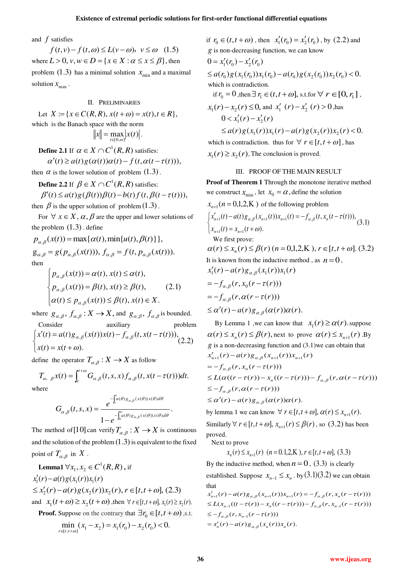and *f* satisfies

 $f(t, v) - f(t, \omega) \le L(v - \omega)$ ,  $v \le \omega$  (1.5) where  $L > 0$ ,  $v, w \in D = \{x \in X : \alpha \leq x \leq \beta\}$ , then problem (1.3) has a minimal solution  $x_{\min}$  and a maximal solution  $x_{\text{max}}$ .

## II. PRELIMINARIES

Let  $X := \{x \in C(R, R), x(t + \omega) = x(t), t \in R\},\$ which is the Banach space with the norm  $x \leq \max_{t \in [0,\omega]} |x(t)|$ .

**Define 2.1** If  $\alpha \in X \cap C^1(R, R)$  satisfies:  $\alpha'(t) \ge a(t)g(\alpha(t))\alpha(t) - f(t,\alpha(t-\tau(t))),$ 

then  $\alpha$  is the lower solution of problem  $(1.3)$ .

**Define 2.2** If  $\beta \in X \cap C^1(R,R)$  satisfies:

$$
\beta'(t) \le a(t)g(\beta(t))\beta(t) - b(t)f(t, \beta(t - \tau(t))),
$$
  
then  $\beta$  is the upper solution of problem (1.3).

For  $\forall x \in X$ ,  $\alpha$ ,  $\beta$  are the upper and lower solutions of the problem  $(1.3)$ . define

$$
p_{\alpha,\beta}(x(t)) = \max{\{\alpha(t), \min\{u(t), \beta(t)\}\}},
$$
  
\n
$$
g_{\alpha,\beta} = g(p_{\alpha,\beta}(x(t))), f_{\alpha,\beta} = f(t, p_{\alpha,\beta}(x(t))).
$$
  
\nthen

$$
\begin{cases}\n p_{\alpha,\beta}(x(t)) = \alpha(t), x(t) \leq \alpha(t), \\
p_{\alpha,\beta}(x(t)) = \beta(t), x(t) \geq \beta(t), \\
\alpha(t) \leq p_{\alpha,\beta}(x(t)) \leq \beta(t), x(t) \in X.\n\end{cases}
$$
\n(2.1)

where  $g_{\alpha,\beta}$ ,  $f_{\alpha,\beta}$ :  $X \to X$ , and  $g_{\alpha,\beta}$ ,  $f_{\alpha,\beta}$  is bounded.

Consider auxiliary problem  
\n
$$
\begin{cases}\nx'(t) = a(t) g_{\alpha,\beta}(x(t))x(t) - f_{\alpha,\beta}(t, x(t-\tau(t))),\nx(t) = x(t + \omega).\n\end{cases}
$$
\n(2.2)

define the operator  $T_{\alpha,\beta}: X \to X$  as follow

$$
T_{\alpha, \beta}x(t) = \int_{t}^{t+\omega} G_{\alpha, \beta}(t, s, x) f_{\alpha, \beta}(t, x(t - \tau(t))) dt.
$$
  
where

$$
G_{\alpha,\beta}(t,s,x)=\frac{e^{-\int_{t}^{\tilde{a}}(\theta)g_{\alpha,\beta}(x(\theta))x(\theta)d\theta}}{1-e^{-\int_{0}^{\varpi}a(\theta)g_{\alpha,\beta}(x(\theta))x(\theta)d\theta}}.
$$

The method of [10] can verify  $T_{\alpha,\beta}: X \to X$  is continuous and the solution of the problem  $(1.3)$  is equivalent to the fixed point of  $T_{\alpha,\beta}$  in X.

**Lemma1**  $\forall x_1, x_2 \in C^1(R, R)$ , if  $x'_1(r) - a(t)g(x_1(r))x_1(r)$  $\leq x_2'(r) - a(r)g(x_2(r))x_2(r), r \in [t, t + \omega],$  (2.3) and  $x_1(t + \omega) \ge x_2(t + \omega)$ , then  $\forall r \in [t, t + \omega], x_1(r) \ge x_2(r)$ .

**Proof.** Suppose on the contrary that  $\exists r_0 \in [t, t + \omega)$ , s.t.

$$
\min_{r \in [t, t + \omega]} (x_1 - x_2) = x_1(r_0) - x_2(r_0) < 0.
$$

if  $r_0 \in (t, t + \omega)$ , then  $x'_1(r_0) = x'_2(r_0)$ , by (2.2) and *g* is non-decreasing function, we can know  $\leq a(r_0)g(x_1(r_0))x_1(r_0) - a(r_0)g(x_2(r_0))x_2(r_0) < 0.$  $0 = x'_1(r_0) - x'_2(r_0)$  which is contradiction. if  $r_0 = 0$ , then  $\exists r_1 \in (t, t + \omega]$ , s.t.for  $\forall r \in [0, r_1]$ ,  $x_1(r) - x_2(r) \le 0$ , and  $x'_1(r) - x'_2(r) > 0$ ,has  $\leq a(r)g(x_1(r))x_1(r) - a(r)g(x_2(r))x_2(r) < 0.$  $0 < x'_1(r) - x'_2(r)$ which is contradiction. thus for  $\forall$   $r \in [t, t + \omega]$ , has

 $x_1(r) \ge x_2(r)$ . The conclusion is proved.

#### III. PROOF OF THE MAIN RESULT

**Proof of Theorem 1** Through the monotone iterative method we construct  $x_{\text{min}}$ , let  $x_0 = \alpha$ , define the solution  $x_{n+1}$  ( $n = 0,1,2,K$ ) of the following problem  $(3.1)$  $(x_{n+1}(t) = x_{n+1}(t + \omega)).$  $\left\{ \begin{aligned} x'_{n+1}(t) - a(t)g_{\alpha,\beta}(x_{n+1}(t))x_{n+1}(t) = -f_{\alpha,\beta}(t,x_n(t-\tau(t))), \end{aligned} \right.$  $\int x'_{n+1}(t) - a(t)g_{\alpha,\beta}(x_{n+1}(t))x_{n+1}(t) = -f_{\alpha,\beta}(t,x_n(t-\tau))$ We first prove:  $\alpha(r) \le x_n(r) \le \beta(r)$   $(n = 0,1,2,K)$ ,  $r \in [t, t + \omega]$ . (3.2) It is known from the inductive method, as  $n = 0$ ,  $=-f_{\alpha,\beta}(r,\alpha(r-\tau(r)))$  $=-f_{\alpha,\beta}(r, x_0(r-\tau(r)))$  $x'_1(r) - a(r)g_{\alpha,\beta}(x_1(r))x_1(r)$ 

 $\leq \alpha'(r) - a(r)g_{\alpha,\beta}(\alpha(r))\alpha(r).$ 

By Lemma 1 ,we can know that  $x_1(r) \ge \alpha(r)$ , suppose  $\alpha(r) \leq x_n(r) \leq \beta(r)$ , next to prove  $\alpha(r) \leq x_{n+1}(r)$ . By *g* is a non-decreasing function and (3.1)we can obtain that  $\leq \alpha'(r) - a(r)g_{\alpha,\beta}(\alpha(r))\alpha(r).$  $\leq -f_{\alpha,\beta}(r, \alpha(r-\tau(r)))$  $\leq L(\alpha((r-\tau(r)) - x_n((r-\tau(r))) - f_{\alpha,\beta}(r,\alpha(r-\tau(r)))$  $=-f_{\alpha,\beta}(r, x_n(r-\tau(r)))$  $x'_{n+1}(r) - a(r)g_{\alpha,\beta}(x_{n+1}(r))x_{n+1}(r)$ 

by lemma 1 we can know  $\forall r \in [t, t + \omega], \alpha(r) \leq x_{n+1}(r)$ . Similarly  $\forall r \in [t, t + \omega], x_{n+1}(r) \leq \beta(r)$ , so (3.2) has been proved.

Next to prove

$$
x_n(r) \le x_{n+1}(r) \ (n = 0.1, 2, \mathbf{K}), r \in [t, t + \omega], \ (3.3)
$$

By the inductive method, when  $n = 0$ , (3.3) is clearly established. Suppose  $x_{n-1} \le x_n$ . by  $(3.1)(3.2)$  we can obtain that

 $= x'_n(r) - a(r)g_{\alpha,\beta}(x_n(r))x_n(r).$  $\leq -f_{\alpha,\beta}(r, x_{n-1}(r-\tau(r)))$  $\leq L(x_{n-1}((t-\tau(r)) - x_n((r-\tau(r))) - f_{\alpha,\beta}(r, x_{n-1}(r-\tau(r)))$  $x'_{n+1}(r) - a(r)g_{\alpha,\beta}(x_{n+1}(r))x_{n+1}(r) = -f_{\alpha,\beta}(r, x_n(r-\tau(r)))$